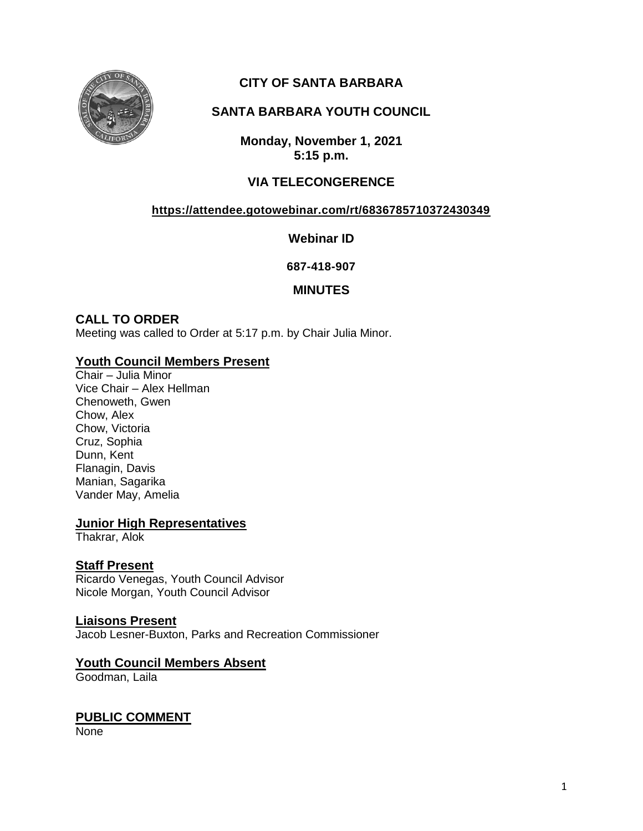

# **CITY OF SANTA BARBARA**

# **SANTA BARBARA YOUTH COUNCIL**

**Monday, November 1, 2021 5:15 p.m.**

## **VIA TELECONGERENCE**

### **<https://attendee.gotowebinar.com/rt/6836785710372430349>**

**Webinar ID**

**687-418-907**

### **MINUTES**

## **CALL TO ORDER**

Meeting was called to Order at 5:17 p.m. by Chair Julia Minor.

#### **Youth Council Members Present**

Chair – Julia Minor Vice Chair – Alex Hellman Chenoweth, Gwen Chow, Alex Chow, Victoria Cruz, Sophia Dunn, Kent Flanagin, Davis Manian, Sagarika Vander May, Amelia

#### **Junior High Representatives**

Thakrar, Alok

### **Staff Present**

Ricardo Venegas, Youth Council Advisor Nicole Morgan, Youth Council Advisor

### **Liaisons Present**

Jacob Lesner-Buxton, Parks and Recreation Commissioner

# **Youth Council Members Absent**

Goodman, Laila

# **PUBLIC COMMENT**

None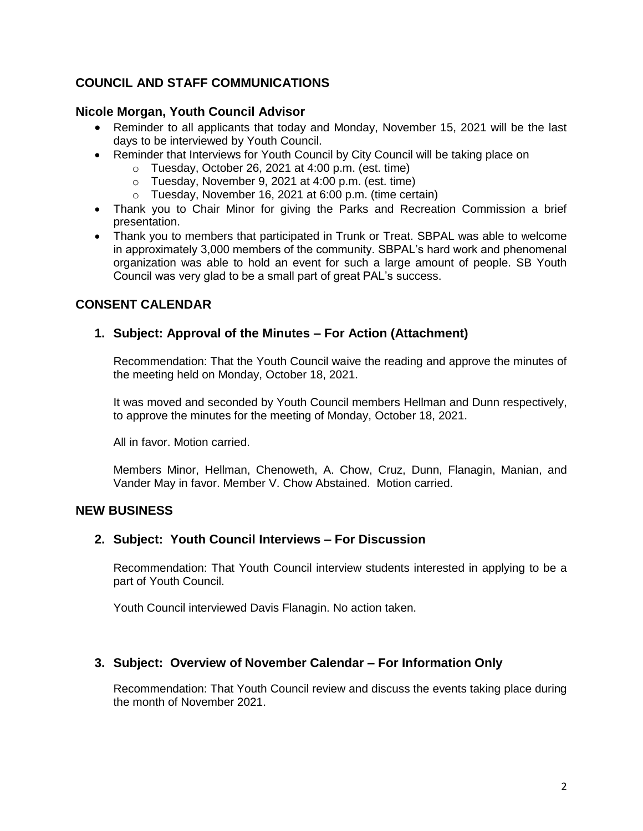## **COUNCIL AND STAFF COMMUNICATIONS**

#### **Nicole Morgan, Youth Council Advisor**

- Reminder to all applicants that today and Monday, November 15, 2021 will be the last days to be interviewed by Youth Council.
- Reminder that Interviews for Youth Council by City Council will be taking place on
	- o Tuesday, October 26, 2021 at 4:00 p.m. (est. time)
		- o Tuesday, November 9, 2021 at 4:00 p.m. (est. time)
		- o Tuesday, November 16, 2021 at 6:00 p.m. (time certain)
- Thank you to Chair Minor for giving the Parks and Recreation Commission a brief presentation.
- Thank you to members that participated in Trunk or Treat. SBPAL was able to welcome in approximately 3,000 members of the community. SBPAL's hard work and phenomenal organization was able to hold an event for such a large amount of people. SB Youth Council was very glad to be a small part of great PAL's success.

## **CONSENT CALENDAR**

## **1. Subject: Approval of the Minutes – For Action (Attachment)**

Recommendation: That the Youth Council waive the reading and approve the minutes of the meeting held on Monday, October 18, 2021.

It was moved and seconded by Youth Council members Hellman and Dunn respectively, to approve the minutes for the meeting of Monday, October 18, 2021.

All in favor. Motion carried.

Members Minor, Hellman, Chenoweth, A. Chow, Cruz, Dunn, Flanagin, Manian, and Vander May in favor. Member V. Chow Abstained. Motion carried.

#### **NEW BUSINESS**

### **2. Subject: Youth Council Interviews – For Discussion**

Recommendation: That Youth Council interview students interested in applying to be a part of Youth Council.

Youth Council interviewed Davis Flanagin. No action taken.

### **3. Subject: Overview of November Calendar – For Information Only**

Recommendation: That Youth Council review and discuss the events taking place during the month of November 2021.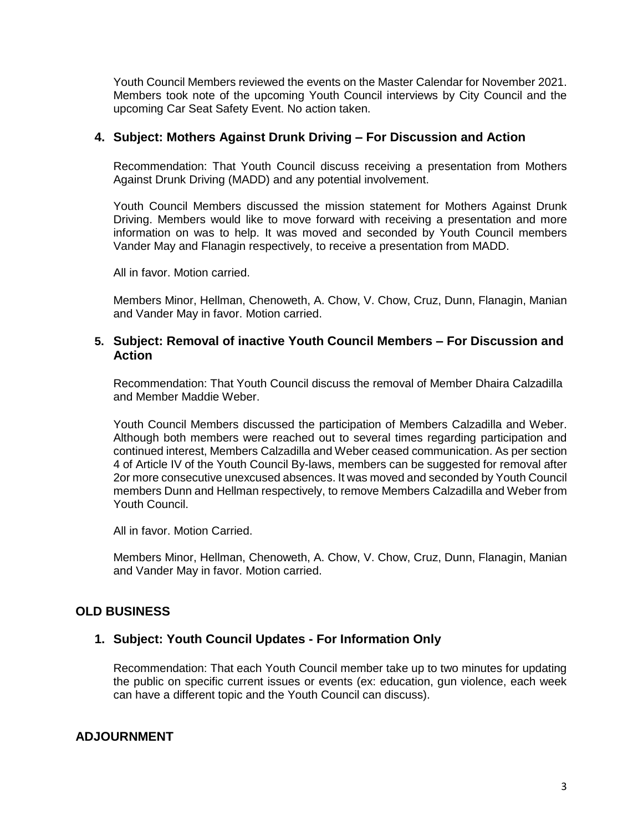Youth Council Members reviewed the events on the Master Calendar for November 2021. Members took note of the upcoming Youth Council interviews by City Council and the upcoming Car Seat Safety Event. No action taken.

#### **4. Subject: Mothers Against Drunk Driving – For Discussion and Action**

Recommendation: That Youth Council discuss receiving a presentation from Mothers Against Drunk Driving (MADD) and any potential involvement.

Youth Council Members discussed the mission statement for Mothers Against Drunk Driving. Members would like to move forward with receiving a presentation and more information on was to help. It was moved and seconded by Youth Council members Vander May and Flanagin respectively, to receive a presentation from MADD.

All in favor. Motion carried.

Members Minor, Hellman, Chenoweth, A. Chow, V. Chow, Cruz, Dunn, Flanagin, Manian and Vander May in favor. Motion carried.

#### **5. Subject: Removal of inactive Youth Council Members – For Discussion and Action**

Recommendation: That Youth Council discuss the removal of Member Dhaira Calzadilla and Member Maddie Weber.

Youth Council Members discussed the participation of Members Calzadilla and Weber. Although both members were reached out to several times regarding participation and continued interest, Members Calzadilla and Weber ceased communication. As per section 4 of Article IV of the Youth Council By-laws, members can be suggested for removal after 2or more consecutive unexcused absences. It was moved and seconded by Youth Council members Dunn and Hellman respectively, to remove Members Calzadilla and Weber from Youth Council.

All in favor. Motion Carried.

Members Minor, Hellman, Chenoweth, A. Chow, V. Chow, Cruz, Dunn, Flanagin, Manian and Vander May in favor. Motion carried.

### **OLD BUSINESS**

#### **1. Subject: Youth Council Updates - For Information Only**

Recommendation: That each Youth Council member take up to two minutes for updating the public on specific current issues or events (ex: education, gun violence, each week can have a different topic and the Youth Council can discuss).

### **ADJOURNMENT**